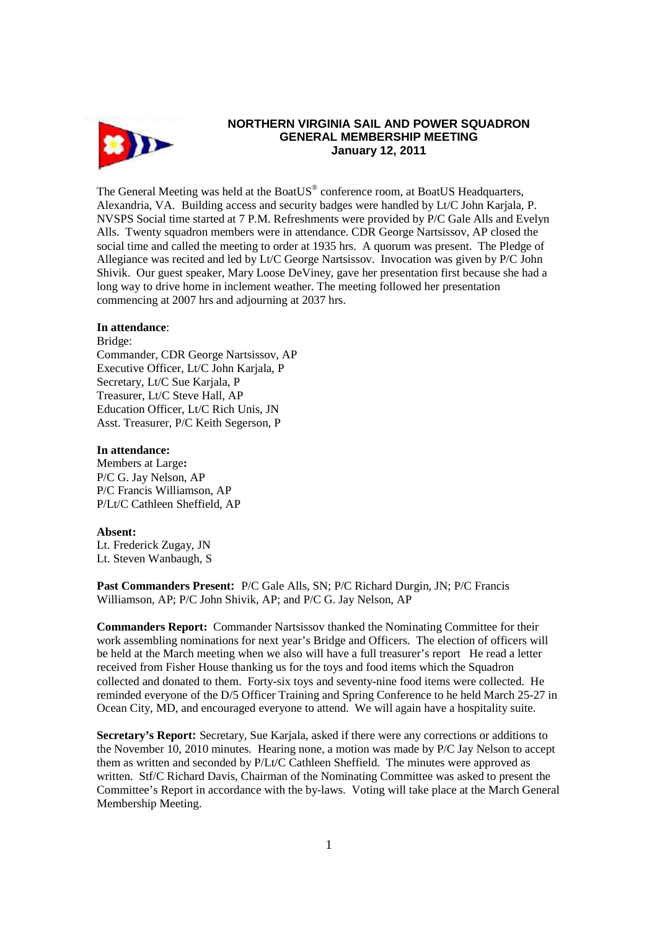

# **NORTHERN VIRGINIA SAIL AND POWER SQUADRON GENERAL MEMBERSHIP MEETING January 12, 2011**

The General Meeting was held at the BoatUS® conference room, at BoatUS Headquarters, Alexandria, VA. Building access and security badges were handled by Lt/C John Karjala, P. NVSPS Social time started at 7 P.M. Refreshments were provided by P/C Gale Alls and Evelyn Alls. Twenty squadron members were in attendance. CDR George Nartsissov, AP closed the social time and called the meeting to order at 1935 hrs. A quorum was present. The Pledge of Allegiance was recited and led by Lt/C George Nartsissov. Invocation was given by P/C John Shivik. Our guest speaker, Mary Loose DeViney, gave her presentation first because she had a long way to drive home in inclement weather. The meeting followed her presentation commencing at 2007 hrs and adjourning at 2037 hrs.

## **In attendance**:

Bridge: Commander, CDR George Nartsissov, AP Executive Officer, Lt/C John Karjala, P Secretary, Lt/C Sue Karjala, P Treasurer, Lt/C Steve Hall, AP Education Officer, Lt/C Rich Unis, JN Asst. Treasurer, P/C Keith Segerson, P

#### **In attendance:**

Members at Large**:**  P/C G. Jay Nelson, AP P/C Francis Williamson, AP P/Lt/C Cathleen Sheffield, AP

### **Absent:**

Lt. Frederick Zugay, JN Lt. Steven Wanbaugh, S

**Past Commanders Present:** P/C Gale Alls, SN; P/C Richard Durgin, JN; P/C Francis Williamson, AP; P/C John Shivik, AP; and P/C G. Jay Nelson, AP

**Commanders Report:** Commander Nartsissov thanked the Nominating Committee for their work assembling nominations for next year's Bridge and Officers. The election of officers will be held at the March meeting when we also will have a full treasurer's report He read a letter received from Fisher House thanking us for the toys and food items which the Squadron collected and donated to them. Forty-six toys and seventy-nine food items were collected. He reminded everyone of the D/5 Officer Training and Spring Conference to he held March 25-27 in Ocean City, MD, and encouraged everyone to attend. We will again have a hospitality suite.

**Secretary's Report:** Secretary, Sue Karjala, asked if there were any corrections or additions to the November 10, 2010 minutes. Hearing none, a motion was made by P/C Jay Nelson to accept them as written and seconded by P/Lt/C Cathleen Sheffield. The minutes were approved as written. Stf/C Richard Davis, Chairman of the Nominating Committee was asked to present the Committee's Report in accordance with the by-laws. Voting will take place at the March General Membership Meeting.